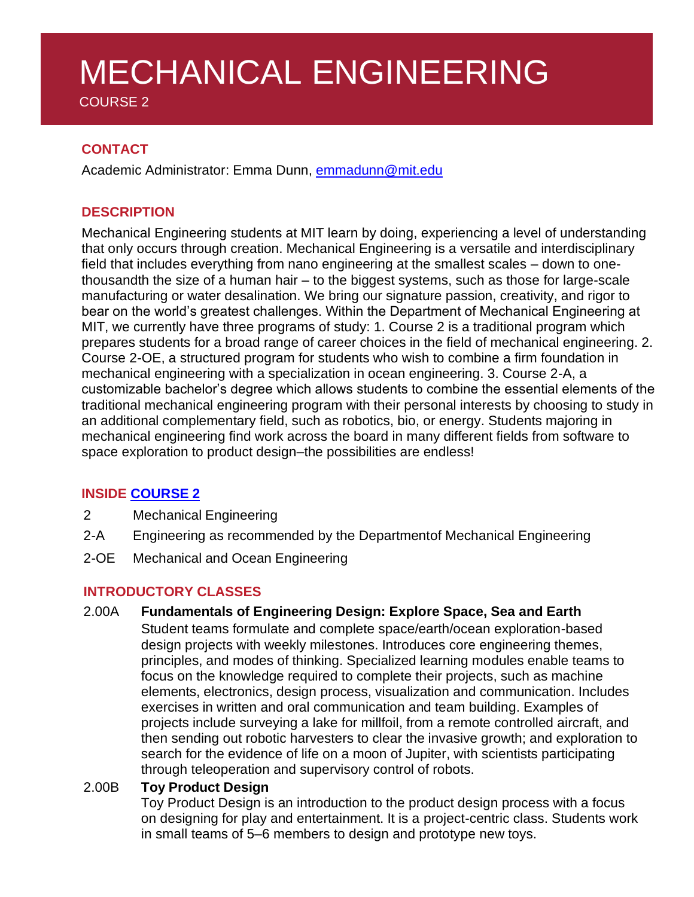# MECHANICAL ENGINEERING

COURSE 2

# **CONTACT**

Academic Administrator: Emma Dunn, [emmadunn@mit.edu](mailto:emmadunn@mit.edu)

# **DESCRIPTION**

Mechanical Engineering students at MIT learn by doing, experiencing a level of understanding that only occurs through creation. Mechanical Engineering is a versatile and interdisciplinary field that includes everything from nano engineering at the smallest scales – down to onethousandth the size of a human hair – to the biggest systems, such as those for large-scale manufacturing or water desalination. We bring our signature passion, creativity, and rigor to bear on the world's greatest challenges. Within the Department of Mechanical Engineering at MIT, we currently have three programs of study: 1. Course 2 is a traditional program which prepares students for a broad range of career choices in the field of mechanical engineering. 2. Course 2-OE, a structured program for students who wish to combine a firm foundation in mechanical engineering with a specialization in ocean engineering. 3. Course 2-A, a customizable bachelor's degree which allows students to combine the essential elements of the traditional mechanical engineering program with their personal interests by choosing to study in an additional complementary field, such as robotics, bio, or energy. Students majoring in mechanical engineering find work across the board in many different fields from software to space exploration to product design–the possibilities are endless!

# **INSIDE [COURSE](http://meche.mit.edu/education/undergraduate) 2**

- 2 Mechanical Engineering
- 2-A Engineering as recommended by the Departmentof Mechanical Engineering
- 2-OE Mechanical and Ocean Engineering

# **INTRODUCTORY CLASSES**

#### 2.00A **Fundamentals of Engineering Design: Explore Space, Sea and Earth**

Student teams formulate and complete space/earth/ocean exploration-based design projects with weekly milestones. Introduces core engineering themes, principles, and modes of thinking. Specialized learning modules enable teams to focus on the knowledge required to complete their projects, such as machine elements, electronics, design process, visualization and communication. Includes exercises in written and oral communication and team building. Examples of projects include surveying a lake for millfoil, from a remote controlled aircraft, and then sending out robotic harvesters to clear the invasive growth; and exploration to search for the evidence of life on a moon of Jupiter, with scientists participating through teleoperation and supervisory control of robots.

# 2.00B **Toy Product Design**

Toy Product Design is an introduction to the product design process with a focus on designing for play and entertainment. It is a project-centric class. Students work in small teams of 5–6 members to design and prototype new toys.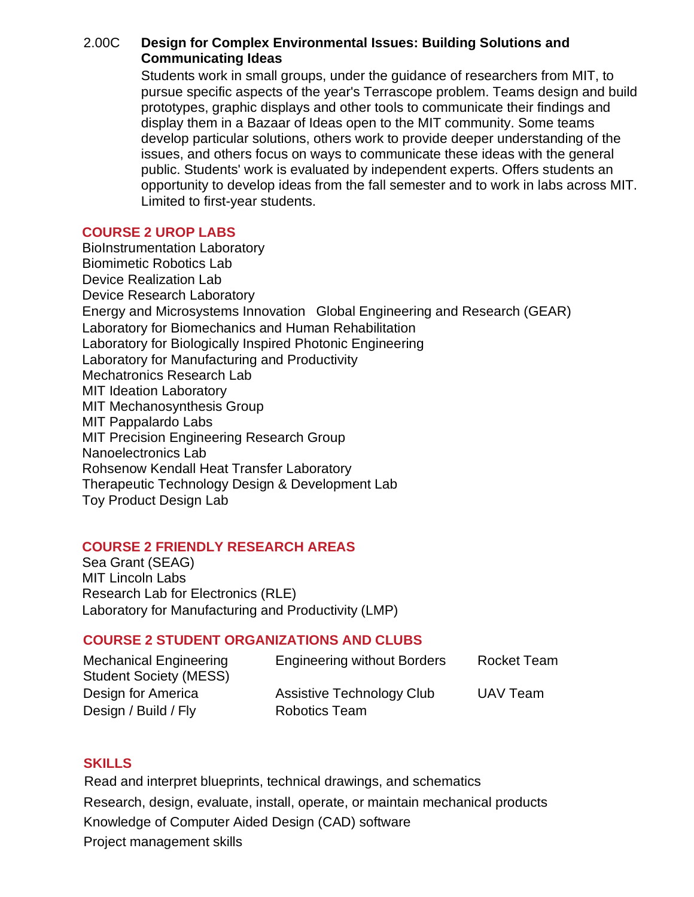## 2.00C **Design for Complex Environmental Issues: Building Solutions and Communicating Ideas**

Students work in small groups, under the guidance of researchers from MIT, to pursue specific aspects of the year's Terrascope problem. Teams design and build prototypes, graphic displays and other tools to communicate their findings and display them in a Bazaar of Ideas open to the MIT community. Some teams develop particular solutions, others work to provide deeper understanding of the issues, and others focus on ways to communicate these ideas with the general public. Students' work is evaluated by independent experts. Offers students an opportunity to develop ideas from the fall semester and to work in labs across MIT. Limited to first-year students.

#### **COURSE 2 UROP LABS**

**BioInstrumentation Laboratory**  Biomimetic Robotics Lab Device Realization Lab Device Research Laboratory Energy and Microsystems Innovation Global Engineering and Research (GEAR) Laboratory for Biomechanics and Human Rehabilitation Laboratory for Biologically Inspired Photonic Engineering Laboratory for Manufacturing and Productivity Mechatronics Research Lab MIT Ideation Laboratory MIT Mechanosynthesis Group MIT Pappalardo Labs MIT Precision Engineering Research Group Nanoelectronics Lab Rohsenow Kendall Heat Transfer Laboratory Therapeutic Technology Design & Development Lab Toy Product Design Lab

#### **COURSE 2 FRIENDLY RESEARCH AREAS**

 Sea Grant (SEAG) MIT Lincoln Labs Research Lab for Electronics (RLE) Laboratory for Manufacturing and Productivity (LMP)

# **COURSE 2 STUDENT ORGANIZATIONS AND CLUBS**

| <b>Mechanical Engineering</b><br><b>Student Society (MESS)</b> | <b>Engineering without Borders</b> | <b>Rocket Team</b> |
|----------------------------------------------------------------|------------------------------------|--------------------|
| Design for America                                             | Assistive Technology Club          | UAV Team           |
| Design / Build / Fly                                           | <b>Robotics Team</b>               |                    |

#### **SKILLS**

Read and interpret blueprints, technical drawings, and schematics Research, design, evaluate, install, operate, or maintain mechanical products Knowledge of Computer Aided Design (CAD) software Project management skills